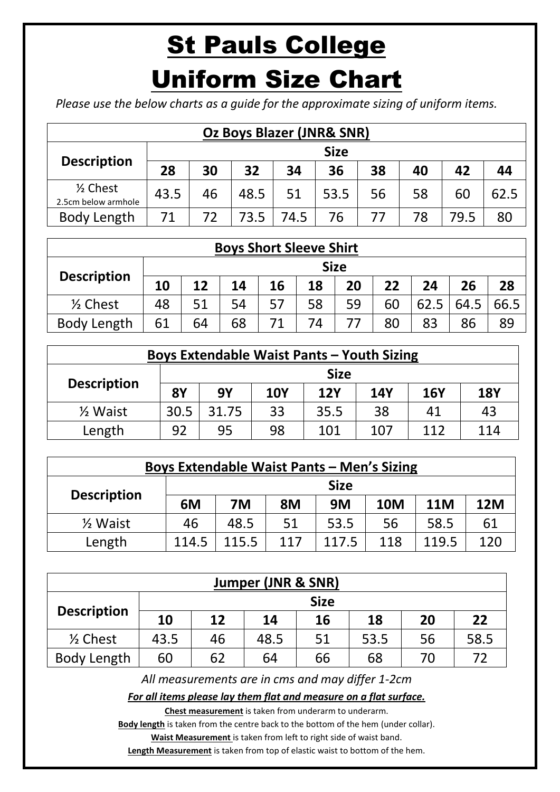## St Pauls College

## Uniform Size Chart

*Please use the below charts as a guide for the approximate sizing of uniform items.*

|                                            | <b>Oz Boys Blazer (JNR&amp; SNR)</b> |    |      |      |      |    |    |      |      |  |  |  |
|--------------------------------------------|--------------------------------------|----|------|------|------|----|----|------|------|--|--|--|
|                                            | <b>Size</b>                          |    |      |      |      |    |    |      |      |  |  |  |
| <b>Description</b>                         | 28                                   | 30 | 32   | 34   | 36   | 38 | 40 | 42   | 44   |  |  |  |
| $\frac{1}{2}$ Chest<br>2.5cm below armhole | 43.5                                 | 46 | 48.5 | 51   | 53.5 | 56 | 58 | 60   | 62.5 |  |  |  |
| Body Length                                | 71                                   | 72 | 73.5 | 74.5 | 76   | 77 | 78 | 79.5 | 80   |  |  |  |

| <b>Boys Short Sleeve Shirt</b> |    |             |    |    |    |    |    |      |      |      |  |  |  |  |
|--------------------------------|----|-------------|----|----|----|----|----|------|------|------|--|--|--|--|
|                                |    | <b>Size</b> |    |    |    |    |    |      |      |      |  |  |  |  |
| <b>Description</b>             | 10 | 12          | 14 | 16 | 18 | 20 | 22 | 24   | 26   | 28   |  |  |  |  |
| $\frac{1}{2}$ Chest            | 48 | 51          | 54 | 57 | 58 | 59 | 60 | 62.5 | 64.5 | 66.5 |  |  |  |  |
| Body Length                    | 61 | 64          | 68 |    | 74 |    | 80 | 83   | 86   | 89   |  |  |  |  |

| <b>Boys Extendable Waist Pants - Youth Sizing</b> |             |           |            |            |            |            |            |  |  |  |  |
|---------------------------------------------------|-------------|-----------|------------|------------|------------|------------|------------|--|--|--|--|
|                                                   | <b>Size</b> |           |            |            |            |            |            |  |  |  |  |
| <b>Description</b>                                | <b>8Y</b>   | <b>9Y</b> | <b>10Y</b> | <b>12Y</b> | <b>14Y</b> | <b>16Y</b> | <b>18Y</b> |  |  |  |  |
| 1/ <sub>2</sub> Waist                             | 30.5        | 31.75     | 33         | 35.5       | 38         | 41         | 43         |  |  |  |  |
| Length                                            | 92          | 95        | 98         | 101        | 107        | 112        | 114        |  |  |  |  |

| <b>Boys Extendable Waist Pants - Men's Sizing</b> |             |       |           |       |            |            |            |  |  |  |  |
|---------------------------------------------------|-------------|-------|-----------|-------|------------|------------|------------|--|--|--|--|
| <b>Description</b>                                | <b>Size</b> |       |           |       |            |            |            |  |  |  |  |
|                                                   | 6M          | 7M    | <b>8M</b> | 9M    | <b>10M</b> | <b>11M</b> | <b>12M</b> |  |  |  |  |
| $\frac{1}{2}$ Waist                               | 46          | 48.5  | 51        | 53.5  | 56         | 58.5       | 61         |  |  |  |  |
| Length                                            | 114.5       | 115.5 | 117       | 117.5 | 118        | 119.5      | 120        |  |  |  |  |

| Jumper (JNR & SNR)  |             |    |      |    |      |    |      |  |  |  |  |  |
|---------------------|-------------|----|------|----|------|----|------|--|--|--|--|--|
|                     | <b>Size</b> |    |      |    |      |    |      |  |  |  |  |  |
| <b>Description</b>  | 10          | 12 | 14   | 16 | 18   | 20 | 22   |  |  |  |  |  |
| $\frac{1}{2}$ Chest | 43.5        | 46 | 48.5 | 51 | 53.5 | 56 | 58.5 |  |  |  |  |  |
| Body Length         | 60          | 62 | 64   | 66 | 68   | 70 | 72   |  |  |  |  |  |

*All measurements are in cms and may differ 1-2cm*

*For all items please lay them flat and measure on a flat surface.*

**Chest measurement** is taken from underarm to underarm.

Body length is taken from the centre back to the bottom of the hem (under collar). **Waist Measurement** is taken from left to right side of waist band.

**Length Measurement** is taken from top of elastic waist to bottom of the hem.